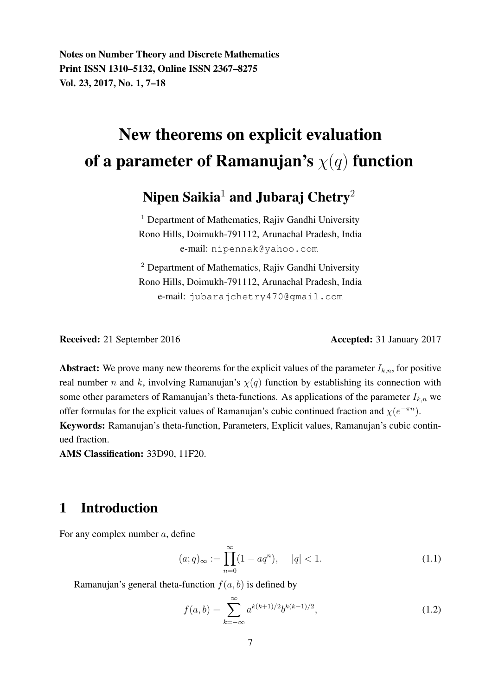Notes on Number Theory and Discrete Mathematics Print ISSN 1310–5132, Online ISSN 2367–8275 Vol. 23, 2017, No. 1, 7–18

# New theorems on explicit evaluation of a parameter of Ramanujan's  $\chi(q)$  function

## Nipen Saikia<sup>1</sup> and Jubaraj Chetry<sup>2</sup>

 $<sup>1</sup>$  Department of Mathematics, Rajiv Gandhi University</sup> Rono Hills, Doimukh-791112, Arunachal Pradesh, India e-mail: nipennak@yahoo.com

<sup>2</sup> Department of Mathematics, Rajiv Gandhi University Rono Hills, Doimukh-791112, Arunachal Pradesh, India e-mail: jubarajchetry470@gmail.com

Received: 21 September 2016 **Accepted: 31 January 2017** 

Abstract: We prove many new theorems for the explicit values of the parameter  $I_{k,n}$ , for positive real number n and k, involving Ramanujan's  $\chi(q)$  function by establishing its connection with some other parameters of Ramanujan's theta-functions. As applications of the parameter  $I_{k,n}$  we offer formulas for the explicit values of Ramanujan's cubic continued fraction and  $\chi(e^{-\pi n})$ .

Keywords: Ramanujan's theta-function, Parameters, Explicit values, Ramanujan's cubic continued fraction.

AMS Classification: 33D90, 11F20.

### 1 Introduction

For any complex number a, define

$$
(a;q)_{\infty} := \prod_{n=0}^{\infty} (1 - aq^n), \quad |q| < 1. \tag{1.1}
$$

Ramanujan's general theta-function  $f(a, b)$  is defined by

$$
f(a,b) = \sum_{k=-\infty}^{\infty} a^{k(k+1)/2} b^{k(k-1)/2},
$$
\n(1.2)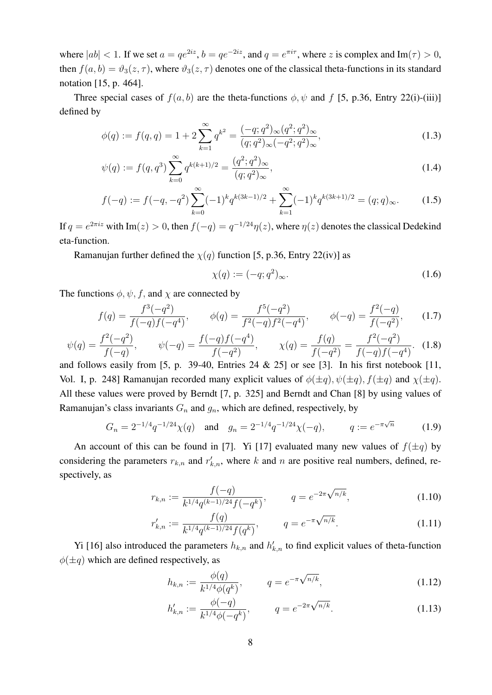where  $|ab| < 1$ . If we set  $a = qe^{2iz}$ ,  $b = qe^{-2iz}$ , and  $q = e^{\pi i \tau}$ , where z is complex and Im( $\tau$ ) > 0, then  $f(a, b) = \vartheta_3(z, \tau)$ , where  $\vartheta_3(z, \tau)$  denotes one of the classical theta-functions in its standard notation [15, p. 464].

Three special cases of  $f(a, b)$  are the theta-functions  $\phi$ ,  $\psi$  and f [5, p.36, Entry 22(i)-(iii)] defined by

$$
\phi(q) := f(q, q) = 1 + 2 \sum_{k=1}^{\infty} q^{k^2} = \frac{(-q; q^2)_{\infty} (q^2; q^2)_{\infty}}{(q; q^2)_{\infty} (-q^2; q^2)_{\infty}},
$$
\n(1.3)

$$
\psi(q) := f(q, q^3) \sum_{k=0}^{\infty} q^{k(k+1)/2} = \frac{(q^2; q^2)_{\infty}}{(q; q^2)_{\infty}},
$$
\n(1.4)

$$
f(-q) := f(-q, -q^2) \sum_{k=0}^{\infty} (-1)^k q^{k(3k-1)/2} + \sum_{k=1}^{\infty} (-1)^k q^{k(3k+1)/2} = (q; q)_{\infty}.
$$
 (1.5)

If  $q = e^{2\pi i z}$  with Im $(z) > 0$ , then  $f(-q) = q^{-1/24}\eta(z)$ , where  $\eta(z)$  denotes the classical Dedekind eta-function.

Ramanujan further defined the  $\chi(q)$  function [5, p.36, Entry 22(iv)] as

$$
\chi(q) := (-q; q^2)_{\infty}.\tag{1.6}
$$

The functions  $\phi$ ,  $\psi$ , f, and  $\chi$  are connected by

$$
f(q) = \frac{f^3(-q^2)}{f(-q)f(-q^4)}, \qquad \phi(q) = \frac{f^5(-q^2)}{f^2(-q)f^2(-q^4)}, \qquad \phi(-q) = \frac{f^2(-q)}{f(-q^2)}, \qquad (1.7)
$$

$$
\psi(q) = \frac{f^2(-q^2)}{f(-q)}, \qquad \psi(-q) = \frac{f(-q)f(-q^4)}{f(-q^2)}, \qquad \chi(q) = \frac{f(q)}{f(-q^2)} = \frac{f^2(-q^2)}{f(-q)f(-q^4)}.\tag{1.8}
$$

and follows easily from [5, p. 39-40, Entries 24 & 25] or see [3]. In his first notebook [11, Vol. I, p. 248] Ramanujan recorded many explicit values of  $\phi(\pm q)$ ,  $\psi(\pm q)$ ,  $f(\pm q)$  and  $\chi(\pm q)$ . All these values were proved by Berndt [7, p. 325] and Berndt and Chan [8] by using values of Ramanujan's class invariants  $G_n$  and  $g_n$ , which are defined, respectively, by

$$
G_n = 2^{-1/4} q^{-1/24} \chi(q) \quad \text{and} \quad g_n = 2^{-1/4} q^{-1/24} \chi(-q), \qquad q := e^{-\pi \sqrt{n}} \tag{1.9}
$$

An account of this can be found in [7]. Yi [17] evaluated many new values of  $f(\pm q)$  by considering the parameters  $r_{k,n}$  and  $r'_{k,n}$ , where k and n are positive real numbers, defined, respectively, as

$$
r_{k,n} := \frac{f(-q)}{k^{1/4}q^{(k-1)/24}f(-q^k)}, \qquad q = e^{-2\pi\sqrt{n/k}}, \qquad (1.10)
$$

$$
r'_{k,n} := \frac{f(q)}{k^{1/4}q^{(k-1)/24}f(q^k)}, \qquad q = e^{-\pi\sqrt{n/k}}.\tag{1.11}
$$

Yi [16] also introduced the parameters  $h_{k,n}$  and  $h'_{k,n}$  to find explicit values of theta-function  $\phi(\pm q)$  which are defined respectively, as

$$
h_{k,n} := \frac{\phi(q)}{k^{1/4}\phi(q^k)}, \qquad q = e^{-\pi\sqrt{n/k}}, \qquad (1.12)
$$

$$
h'_{k,n} := \frac{\phi(-q)}{k^{1/4}\phi(-q^k)}, \qquad q = e^{-2\pi\sqrt{n/k}}.
$$
 (1.13)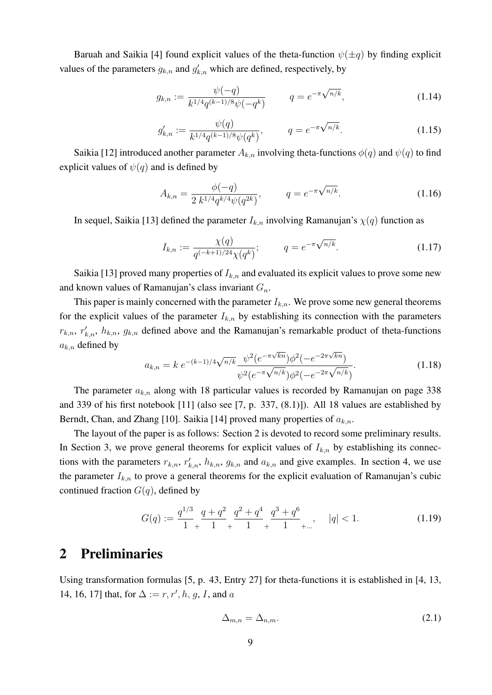Baruah and Saikia [4] found explicit values of the theta-function  $\psi(\pm q)$  by finding explicit values of the parameters  $g_{k,n}$  and  $g'_{k,n}$  which are defined, respectively, by

$$
g_{k,n} := \frac{\psi(-q)}{k^{1/4}q^{(k-1)/8}\psi(-q^k)} \qquad q = e^{-\pi\sqrt{n/k}}, \qquad (1.14)
$$

$$
g'_{k,n} := \frac{\psi(q)}{k^{1/4} q^{(k-1)/8} \psi(q^k)}, \qquad q = e^{-\pi \sqrt{n/k}}.
$$
 (1.15)

Saikia [12] introduced another parameter  $A_{k,n}$  involving theta-functions  $\phi(q)$  and  $\psi(q)$  to find explicit values of  $\psi(q)$  and is defined by

$$
A_{k,n} = \frac{\phi(-q)}{2 k^{1/4} q^{k/4} \psi(q^{2k})}, \qquad q = e^{-\pi \sqrt{n/k}}.
$$
 (1.16)

In sequel, Saikia [13] defined the parameter  $I_{k,n}$  involving Ramanujan's  $\chi(q)$  function as

$$
I_{k,n} := \frac{\chi(q)}{q^{(-k+1)/24}\chi(q^k)}; \qquad q = e^{-\pi\sqrt{n/k}}.
$$
 (1.17)

Saikia [13] proved many properties of  $I_{k,n}$  and evaluated its explicit values to prove some new and known values of Ramanujan's class invariant  $G_n$ .

This paper is mainly concerned with the parameter  $I_{k,n}$ . We prove some new general theorems for the explicit values of the parameter  $I_{k,n}$  by establishing its connection with the parameters  $r_{k,n}$ ,  $r'_{k,n}$ ,  $h_{k,n}$ ,  $g_{k,n}$  defined above and the Ramanujan's remarkable product of theta-functions  $a_{k,n}$  defined by √ √

$$
a_{k,n} = k e^{-(k-1)/4\sqrt{n/k}} \frac{\psi^2(e^{-\pi\sqrt{k n}})\phi^2(-e^{-2\pi\sqrt{k n}})}{\psi^2(e^{-\pi\sqrt{n/k}})\phi^2(-e^{-2\pi\sqrt{n/k}})}.
$$
(1.18)

The parameter  $a_{k,n}$  along with 18 particular values is recorded by Ramanujan on page 338 and 339 of his first notebook [11] (also see [7, p. 337, (8.1)]). All 18 values are established by Berndt, Chan, and Zhang [10]. Saikia [14] proved many properties of  $a_{k,n}$ .

The layout of the paper is as follows: Section 2 is devoted to record some preliminary results. In Section 3, we prove general theorems for explicit values of  $I_{k,n}$  by establishing its connections with the parameters  $r_{k,n}$ ,  $r'_{k,n}$ ,  $h_{k,n}$ ,  $g_{k,n}$  and  $a_{k,n}$  and give examples. In section 4, we use the parameter  $I_{k,n}$  to prove a general theorems for the explicit evaluation of Ramanujan's cubic continued fraction  $G(q)$ , defined by

$$
G(q) := \frac{q^{1/3}}{1} + \frac{q+q^2}{1} + \frac{q^2+q^4}{1} + \frac{q^3+q^6}{1} + \dots, \quad |q| < 1. \tag{1.19}
$$

#### 2 Preliminaries

Using transformation formulas [5, p. 43, Entry 27] for theta-functions it is established in [4, 13, 14, 16, 17] that, for  $\Delta := r, r', h, g, I$ , and a

$$
\Delta_{m,n} = \Delta_{n,m}.\tag{2.1}
$$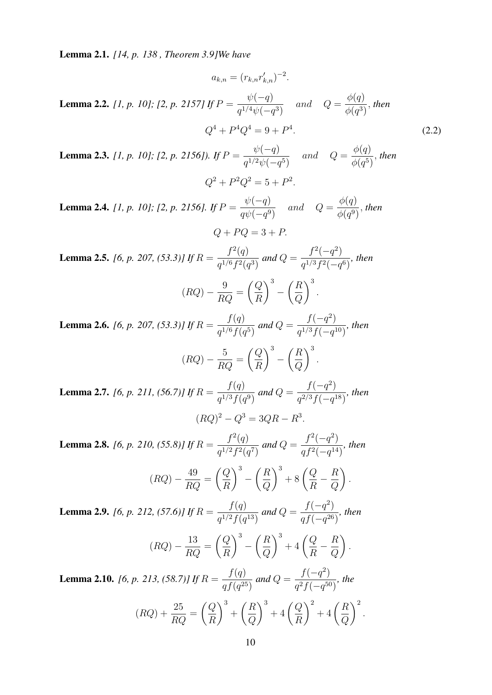Lemma 2.1. *[14, p. 138 , Theorem 3.9]We have*

$$
a_{k,n} = (r_{k,n}r'_{k,n})^{-2}.
$$
  
Lemma 2.2. [1, p. 10]; [2, p. 2157] If  $P = \frac{\psi(-q)}{q^{1/4}\psi(-q^3)}$  and  $Q = \frac{\phi(q)}{\phi(q^3)}$ , then  

$$
Q^4 + P^4 Q^4 = 9 + P^4.
$$
 (2.2)

Lemma 2.3. *[1, p. 10]; [2, p. 2156]). If* P =  $\psi(-q)$  $q^{1/2}\psi(-q^5)$ and  $Q =$  $\phi(q)$  $\phi(q^5)$ , *then*  $Q^2 + P^2 Q^2 = 5 + P^2$ .

Lemma 2.4. *[1, p. 10]; [2, p. 2156]. If* P =  $\psi(-q)$  $q\psi(-q^9)$ and  $Q =$  $\phi(q)$  $\phi(q^9)$ , *then*  $Q + PQ = 3 + P$ 

Lemma 2.5. *[6, p. 207, (53.3)] If* R =  $f^2(q)$  $q^{1/6}f^2(q^3)$ *and* Q =  $f^2(-q^2)$  $q^{1/3}f^2(-q^6)$ *, then*

$$
(RQ) - \frac{9}{RQ} = \left(\frac{Q}{R}\right)^3 - \left(\frac{R}{Q}\right)^3.
$$

Lemma 2.6. *[6, p. 207, (53.3)] If* R =  $f(q)$  $q^{1/6} f(q^5)$ *and*  $Q =$  $f(-q^2)$  $\frac{f(1/3f(-q^{10}))}{(q^{1/3}f(-q^{10}))}$ , then

$$
(RQ) - \frac{5}{RQ} = \left(\frac{Q}{R}\right)^3 - \left(\frac{R}{Q}\right)^3.
$$

Lemma 2.7. *[6, p. 211, (56.7)] If* R =  $f(q)$  $q^{1/3} f(q^9)$ *and*  $Q =$  $f(-q^2)$  $\frac{f(1, q)}{q^{2/3}f(-q^{18})}$ , then  $(RQ)^2 - Q^3 = 3QR - R^3.$ 

Lemma 2.8. *[6, p. 210, (55.8)] If* R =  $f^2(q)$  $q^{1/2}f^2(q^7)$ and  $Q =$  $f^2(-q^2)$  $\frac{f^3(-q^{14})}{qf^2(-q^{14})}$ , then

$$
(RQ) - \frac{49}{RQ} = \left(\frac{Q}{R}\right)^3 - \left(\frac{R}{Q}\right)^3 + 8\left(\frac{Q}{R} - \frac{R}{Q}\right)
$$

.

Lemma 2.9. *[6, p. 212, (57.6)] If* R =  $f(q)$  $\frac{f'(q)}{q^{1/2}f(q^{13})}$  and Q =  $f(-q^2)$  $\frac{f(-q^{26})}{qf(-q^{26})}$ , then

$$
(RQ) - \frac{13}{RQ} = \left(\frac{Q}{R}\right)^3 - \left(\frac{R}{Q}\right)^3 + 4\left(\frac{Q}{R} - \frac{R}{Q}\right).
$$

Lemma 2.10. *[6, p. 213, (58.7)] If* R =  $f(q)$  $\frac{J(Q)}{q f(q^{25})}$  and Q =  $f(-q^2)$  $\frac{f(-q^{50})}{q^2f(-q^{50})}$ , the  $(RQ) + \frac{25}{R}$  $rac{20}{RQ}$  =  $\bigcap$ R  $\setminus^3$  $+$  $\bigcap R$  $\overline{Q}$  $\bigg)^3 + 4 \bigg( \frac{Q}{R} \bigg)$ R  $\bigg)^2 + 4 \bigg( \frac{R}{2}$  $\overline{Q}$  $\lambda^2$ .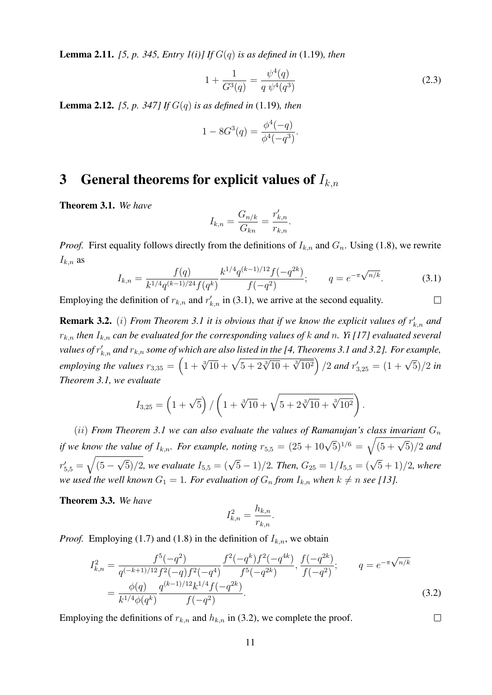Lemma 2.11. *[5, p. 345, Entry 1(i)] If* G(q) *is as defined in* (1.19)*, then*

$$
1 + \frac{1}{G^3(q)} = \frac{\psi^4(q)}{q \psi^4(q^3)}
$$
\n(2.3)

Lemma 2.12. *[5, p. 347] If* G(q) *is as defined in* (1.19)*, then*

$$
1 - 8G^3(q) = \frac{\phi^4(-q)}{\phi^4(-q^3)}.
$$

#### 3 General theorems for explicit values of  $I_{k,n}$

Theorem 3.1. *We have*

$$
I_{k,n} = \frac{G_{n/k}}{G_{kn}} = \frac{r'_{k,n}}{r_{k,n}}.
$$

*Proof.* First equality follows directly from the definitions of  $I_{k,n}$  and  $G_n$ . Using (1.8), we rewrite  $I_{k,n}$  as

$$
I_{k,n} = \frac{f(q)}{k^{1/4}q^{(k-1)/24}f(q^k)} \frac{k^{1/4}q^{(k-1)/12}f(-q^{2k})}{f(-q^2)}; \qquad q = e^{-\pi\sqrt{n/k}}.
$$
 (3.1)

Employing the definition of  $r_{k,n}$  and  $r'_{k,n}$  in (3.1), we arrive at the second equality.  $\Box$ 

**Remark 3.2.** (*i*) *From Theorem 3.1 it is obvious that if we know the explicit values of*  $r'_{k,n}$  *and*  $r_{k,n}$  *then*  $I_{k,n}$  *can be evaluated for the corresponding values of k and n. Yi* [17] *evaluated several* values of  $r_{k,n}^{\prime}$  and  $r_{k,n}$  some of which are also listed in the [4, Theorems 3.1 and 3.2]. For example, *employing the values*  $r_{3,35} = \left(1 + \sqrt[3]{10} + \sqrt{5 + 2\sqrt[3]{10} + \sqrt[3]{10^2}}\right) / 2$  *and*  $r'_{3,25} = (1 + \sqrt{5}) / 2$  *in Theorem 3.1, we evaluate*

$$
I_{3,25} = \left(1 + \sqrt{5}\right) / \left(1 + \sqrt[3]{10} + \sqrt{5 + 2\sqrt[3]{10} + \sqrt[3]{10^2}}\right).
$$

(ii) *From Theorem 3.1 we can also evaluate the values of Ramanujan's class invariant*  $G_n$ *if we know the value of*  $I_{k,n}$ *. For example, noting*  $r_{5,5} = (25 + 10\sqrt{5})^{1/6} = \sqrt{(5 + \sqrt{5})/2}$  *and*  $r'_{5,5} = \sqrt{(5 \sqrt{5})/2$ , we evaluate  $I_{5,5} = (\sqrt{5}-1)/2$ . Then,  $G_{25} = 1/I_{5,5} = (\sqrt{5}+1)/2$ , where *we used the well known*  $G_1 = 1$ *. For evaluation of*  $G_n$  *from*  $I_{k,n}$  *when*  $k \neq n$  *see* [13]*.* 

Theorem 3.3. *We have*

$$
I_{k,n}^2 = \frac{h_{k,n}}{r_{k,n}}.
$$

*Proof.* Employing (1.7) and (1.8) in the definition of  $I_{k,n}$ , we obtain

$$
I_{k,n}^{2} = \frac{f^{5}(-q^{2})}{q^{(-k+1)/12}f^{2}(-q)f^{2}(-q^{4})} \frac{f^{2}(-q^{k})f^{2}(-q^{4k})}{f^{5}(-q^{2k})}, \frac{f(-q^{2k})}{f(-q^{2})}; \qquad q = e^{-\pi\sqrt{n/k}}
$$

$$
= \frac{\phi(q)}{k^{1/4}\phi(q^{k})} \frac{q^{(k-1)/12}k^{1/4}f(-q^{2k})}{f(-q^{2})}.
$$
(3.2)

 $\Box$ 

Employing the definitions of  $r_{k,n}$  and  $h_{k,n}$  in (3.2), we complete the proof.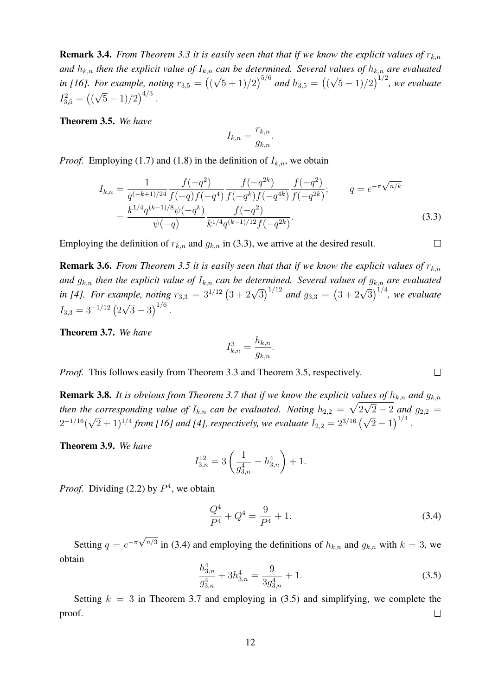**Remark 3.4.** *From Theorem 3.3 it is easily seen that that if we know the explicit values of*  $r_{k,n}$ *and*  $h_{k,n}$  *then the explicit value of*  $I_{k,n}$  *can be determined. Several values of*  $h_{k,n}$  *are evaluated* in [16]. For example, noting  $r_{3,5} =$  (( √  $(5+1)/2$ <sup>5/6</sup> and  $h_{3,5} =$  (1) √  $(5-1)/2$ )<sup>1/2</sup>, we evaluate  $I_{3,5}^2 = (($ √  $(5-1)/2)^{4/3}$ .

Theorem 3.5. *We have*

$$
I_{k,n} = \frac{r_{k,n}}{g_{k,n}}.
$$

*Proof.* Employing (1.7) and (1.8) in the definition of  $I_{k,n}$ , we obtain

$$
I_{k,n} = \frac{1}{q^{(-k+1)/24}} \frac{f(-q^2)}{f(-q)f(-q^4)} \frac{f(-q^{2k})}{f(-q^k)f(-q^{4k})} \frac{f(-q^2)}{f(-q^{2k})}; \qquad q = e^{-\pi \sqrt{n/k}}
$$

$$
= \frac{k^{1/4}q^{(k-1)/8}\psi(-q^k)}{\psi(-q)} \frac{f(-q^2)}{k^{1/4}q^{(k-1)/12}f(-q^{2k})}. \tag{3.3}
$$

Employing the definition of  $r_{k,n}$  and  $g_{k,n}$  in (3.3), we arrive at the desired result.

**Remark 3.6.** *From Theorem 3.5 it is easily seen that that if we know the explicit values of*  $r_{k,n}$ *and*  $g_{k,n}$  *then the explicit value of*  $I_{k,n}$  *can be determined. Several values of*  $g_{k,n}$  *are evaluated in [4]. For example, noting*  $r_{3,3} = 3^{1/12} (3 + 2\sqrt{3})^{1/12}$  *and*  $g_{3,3} = (3 + 2\sqrt{3})^{1/4}$ *, we evaluate in [4]*.  $I_{3,3} = 3^{-1/12}$  (2 √  $\sqrt{3}-3\big)^{1/6}$ .

Theorem 3.7. *We have*

$$
I_{k,n}^3 = \frac{h_{k,n}}{g_{k,n}}.
$$

*Proof.* This follows easily from Theorem 3.3 and Theorem 3.5, respectively.

**Remark 3.8.** It is obvious from Theorem 3.7 that if we know the explicit values of  $h_{k,n}$  and  $g_{k,n}$ then the corresponding value of  $I_{k,n}$  can be evaluated. Noting  $h_{2,2} = \sqrt{2\sqrt{2}-2}$  and  $g_{2,2} =$  $2^{-1/16}$ ( √  $(2+1)^{1/4}$  from [16] and [4], respectively, we evaluate  $I_{2,2} = 2^{3/16} (\sqrt{2}-1)^{1/4}$ .

Theorem 3.9. *We have*

$$
I_{3,n}^{12} = 3\left(\frac{1}{g_{3,n}^4} - h_{3,n}^4\right) + 1.
$$

*Proof.* Dividing (2.2) by  $P<sup>4</sup>$ , we obtain

$$
\frac{Q^4}{P^4} + Q^4 = \frac{9}{P^4} + 1.
$$
\n(3.4)

 $\Box$ 

 $\Box$ 

Setting  $q = e^{-\pi \sqrt{n/3}}$  in (3.4) and employing the definitions of  $h_{k,n}$  and  $g_{k,n}$  with  $k = 3$ , we obtain

$$
\frac{h_{3,n}^4}{g_{3,n}^4} + 3h_{3,n}^4 = \frac{9}{3g_{3,n}^4} + 1.
$$
\n(3.5)

Setting  $k = 3$  in Theorem 3.7 and employing in (3.5) and simplifying, we complete the proof.  $\Box$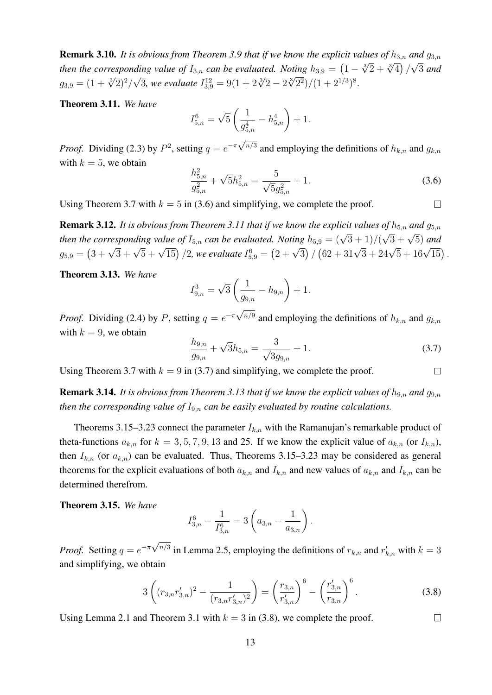**Remark 3.10.** *It is obvious from Theorem 3.9 that if we know the explicit values of*  $h_{3,n}$  *and*  $g_{3,n}$ *then the corresponding value of*  $I_{3,n}$  *can be evaluated. Noting*  $h_{3,9} = \left(1 - \sqrt[3]{2} + \sqrt[3]{4}\right)/\sqrt{3}$  *and then the corresponding value of*  $I_{3,n}$  *can be evaluated. Noting*  $h_{3,9} = \left(1 - \sqrt[3]{2} + \sqrt[3]{4}\right)/\sqrt{3}$  *an*  $g_{3,9} = (1 + \sqrt[3]{2})^2/$ √ 3, we evaluate  $I_{3,9}^{12} = 9(1 + 2\sqrt[3]{2} - 2\sqrt[3]{2^2})/(1 + 2^{1/3})^8$ .

Theorem 3.11. *We have*

$$
I_{5,n}^6 = \sqrt{5} \left( \frac{1}{g_{5,n}^4} - h_{5,n}^4 \right) + 1.
$$

*Proof.* Dividing (2.3) by  $P^2$ , setting  $q = e^{-\pi \sqrt{n/3}}$  and employing the definitions of  $h_{k,n}$  and  $g_{k,n}$ with  $k = 5$ , we obtain

$$
\frac{h_{5,n}^2}{g_{5,n}^2} + \sqrt{5}h_{5,n}^2 = \frac{5}{\sqrt{5}g_{5,n}^2} + 1.
$$
\n(3.6)

 $\Box$ 

 $\Box$ 

 $\Box$ 

Using Theorem 3.7 with  $k = 5$  in (3.6) and simplifying, we complete the proof.

**Remark 3.12.** It is obvious from Theorem 3.11 that if we know the explicit values of  $h_{5,n}$  and  $g_{5,n}$ *then the corresponding value of*  $I_{5,n}$  *can be evaluated. Noting*  $h_{5,9} = (\sqrt{3} + 1)/(\sqrt{3} + \sqrt{5})$  *and then the corresponding value of*  $I_{5,n}$  *can be evaluated. Noting*  $h_{5,9} = (\sqrt{3} + 1)/(\sqrt{3} + \sqrt{5})$  *and*  $g_{5,9} = (3 + \sqrt{3} + \sqrt{5} + \sqrt{15})/2$ , we evaluate  $I_{5,9}^6 = (2 + \sqrt{3}) / (62 + 31\sqrt{3} + 24\sqrt{5} + 16\sqrt{15})$ .

Theorem 3.13. *We have*

$$
I_{9,n}^3 = \sqrt{3} \left( \frac{1}{g_{9,n}} - h_{9,n} \right) + 1.
$$

*Proof.* Dividing (2.4) by P, setting  $q = e^{-\pi \sqrt{n/9}}$  and employing the definitions of  $h_{k,n}$  and  $g_{k,n}$ with  $k = 9$ , we obtain

$$
\frac{h_{9,n}}{g_{9,n}} + \sqrt{3}h_{5,n} = \frac{3}{\sqrt{3}g_{9,n}} + 1.
$$
\n(3.7)

Using Theorem 3.7 with  $k = 9$  in (3.7) and simplifying, we complete the proof.

**Remark 3.14.** *It is obvious from Theorem 3.13 that if we know the explicit values of*  $h_{9,n}$  *and*  $g_{9,n}$ *then the corresponding value of*  $I_{9,n}$  *can be easily evaluated by routine calculations.* 

Theorems 3.15–3.23 connect the parameter  $I_{k,n}$  with the Ramanujan's remarkable product of theta-functions  $a_{k,n}$  for  $k = 3, 5, 7, 9, 13$  and 25. If we know the explicit value of  $a_{k,n}$  (or  $I_{k,n}$ ), then  $I_{k,n}$  (or  $a_{k,n}$ ) can be evaluated. Thus, Theorems 3.15–3.23 may be considered as general theorems for the explicit evaluations of both  $a_{k,n}$  and  $I_{k,n}$  and new values of  $a_{k,n}$  and  $I_{k,n}$  can be determined therefrom.

Theorem 3.15. *We have*

$$
I_{3,n}^6 - \frac{1}{I_{3,n}^6} = 3\left(a_{3,n} - \frac{1}{a_{3,n}}\right).
$$

*Proof.* Setting  $q = e^{-\pi \sqrt{n/3}}$  in Lemma 2.5, employing the definitions of  $r_{k,n}$  and  $r'_{k,n}$  with  $k = 3$ and simplifying, we obtain

$$
3\left((r_{3,n}r'_{3,n})^2 - \frac{1}{(r_{3,n}r'_{3,n})^2}\right) = \left(\frac{r_{3,n}}{r'_{3,n}}\right)^6 - \left(\frac{r'_{3,n}}{r_{3,n}}\right)^6.
$$
 (3.8)

Using Lemma 2.1 and Theorem 3.1 with  $k = 3$  in (3.8), we complete the proof.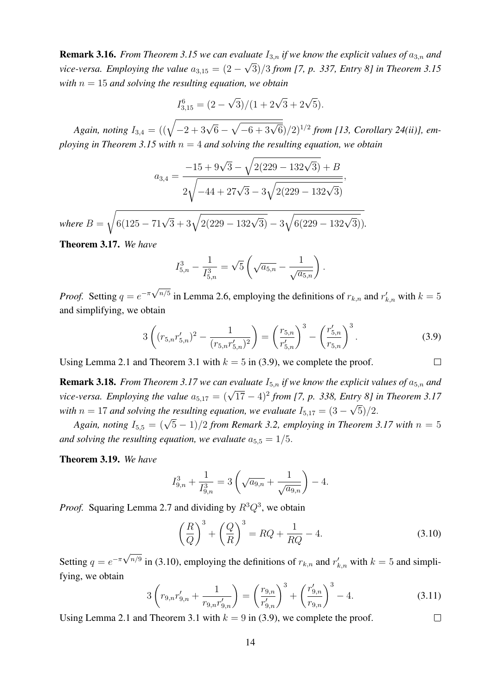**Remark 3.16.** *From Theorem 3.15 we can evaluate*  $I_{3,n}$  *if we know the explicit values of*  $a_{3,n}$  *and vice-versa. Employing the value*  $a_{3,15} = (2 - \sqrt{3})/3$  from [7, p. 337, Entry 8] in Theorem 3.15 *with*  $n = 15$  *and solving the resulting equation, we obtain* 

$$
I_{3,15}^6 = (2 - \sqrt{3})/(1 + 2\sqrt{3} + 2\sqrt{5}).
$$

*Again, noting*  $I_{3,4} = ((\sqrt{-2 + 3\sqrt{6} - \sqrt{-6 + 3\sqrt{6}}})/2)^{1/2}$  *from* [13, Corollary 24(ii)], em*ploying in Theorem 3.15 with* n = 4 *and solving the resulting equation, we obtain*

$$
a_{3,4} = \frac{-15 + 9\sqrt{3} - \sqrt{2(229 - 132\sqrt{3})} + B}{2\sqrt{-44 + 27\sqrt{3} - 3\sqrt{2(229 - 132\sqrt{3})}}},
$$

 $where B =$  $\sqrt{6(125-71\sqrt{3}+3\sqrt{2(229-132\sqrt{3})}-3\sqrt{6(229-132\sqrt{3})})}.$ 

Theorem 3.17. *We have*

$$
I_{5,n}^3 - \frac{1}{I_{5,n}^3} = \sqrt{5} \left( \sqrt{a_{5,n}} - \frac{1}{\sqrt{a_{5,n}}} \right).
$$

*Proof.* Setting  $q = e^{-\pi \sqrt{n/5}}$  in Lemma 2.6, employing the definitions of  $r_{k,n}$  and  $r'_{k,n}$  with  $k = 5$ and simplifying, we obtain

$$
3\left((r_{5,n}r'_{5,n})^2 - \frac{1}{(r_{5,n}r'_{5,n})^2}\right) = \left(\frac{r_{5,n}}{r'_{5,n}}\right)^3 - \left(\frac{r'_{5,n}}{r_{5,n}}\right)^3.
$$
 (3.9)

 $\Box$ 

Using Lemma 2.1 and Theorem 3.1 with  $k = 5$  in (3.9), we complete the proof.

**Remark 3.18.** *From Theorem 3.17 we can evaluate*  $I_{5,n}$  *if we know the explicit values of*  $a_{5,n}$  *and vice-versa. Employing the value*  $a_{5,17} = (\sqrt{17} - 4)^2$  *from* [7, p. 338, *Entry 8] in Theorem 3.17 with*  $n = 17$  *and solving the resulting equation, we evaluate*  $I_{5,17} = (3 - 17)$ √  $(5)/2.$ 

*Again, noting*  $I_{5,5} = (\sqrt{5}-1)/2$  *from Remark 3.2, employing in Theorem 3.17 with*  $n = 5$ *and solving the resulting equation, we evaluate*  $a_{5,5} = 1/5$ .

Theorem 3.19. *We have*

$$
I_{9,n}^3 + \frac{1}{I_{9,n}^3} = 3\left(\sqrt{a_{9,n}} + \frac{1}{\sqrt{a_{9,n}}}\right) - 4.
$$

*Proof.* Squaring Lemma 2.7 and dividing by  $R^3 Q^3$ , we obtain

$$
\left(\frac{R}{Q}\right)^3 + \left(\frac{Q}{R}\right)^3 = RQ + \frac{1}{RQ} - 4.
$$
\n(3.10)

Setting  $q = e^{-\pi \sqrt{n/9}}$  in (3.10), employing the definitions of  $r_{k,n}$  and  $r'_{k,n}$  with  $k = 5$  and simplifying, we obtain

$$
3\left(r_{9,n}r'_{9,n} + \frac{1}{r_{9,n}r'_{9,n}}\right) = \left(\frac{r_{9,n}}{r'_{9,n}}\right)^3 + \left(\frac{r'_{9,n}}{r_{9,n}}\right)^3 - 4.
$$
\n(3.11)

Using Lemma 2.1 and Theorem 3.1 with  $k = 9$  in (3.9), we complete the proof.  $\Box$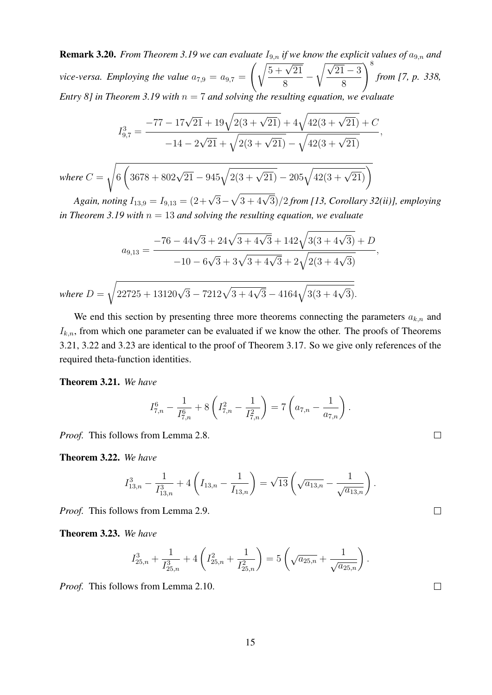**Remark 3.20.** *From Theorem 3.19 we can evaluate*  $I_{9,n}$  *if we know the explicit values of*  $a_{9,n}$  *and vice-versa. Employing the value*  $a_{7,9} = a_{9,7}$  $\int \sqrt{5 + \sqrt{21}}$ 8 −  $\sqrt{\sqrt{21} - 3}$ 8  $\bigwedge^8$ *from [7, p. 338, Entry 8] in Theorem 3.19 with* n = 7 *and solving the resulting equation, we evaluate*

$$
I_{9,7}^3 = \frac{-77 - 17\sqrt{21} + 19\sqrt{2(3 + \sqrt{21})} + 4\sqrt{42(3 + \sqrt{21})} + C}{-14 - 2\sqrt{21} + \sqrt{2(3 + \sqrt{21})} - \sqrt{42(3 + \sqrt{21})}},
$$

where 
$$
C = \sqrt{6 \left( 3678 + 802\sqrt{21} - 945\sqrt{2(3 + \sqrt{21})} - 205\sqrt{42(3 + \sqrt{21})} \right)}
$$

*Again, noting*  $I_{13,9} = I_{9,13} = (2 + \sqrt{3} - \sqrt{3 + 4\sqrt{3}})/2$  *from* [13, Corollary 32(ii)], employing *in Theorem 3.19 with*  $n = 13$  *and solving the resulting equation, we evaluate* 

$$
a_{9,13} = \frac{-76 - 44\sqrt{3} + 24\sqrt{3} + 4\sqrt{3} + 142\sqrt{3(3 + 4\sqrt{3})} + D}{-10 - 6\sqrt{3} + 3\sqrt{3} + 4\sqrt{3} + 2\sqrt{2(3 + 4\sqrt{3})}},
$$
  
where  $D = \sqrt{22725 + 13120\sqrt{3} - 7212\sqrt{3} + 4\sqrt{3} - 4164\sqrt{3(3 + 4\sqrt{3})}}.$ 

We end this section by presenting three more theorems connecting the parameters  $a_{k,n}$  and  $I_{k,n}$ , from which one parameter can be evaluated if we know the other. The proofs of Theorems 3.21, 3.22 and 3.23 are identical to the proof of Theorem 3.17. So we give only references of the required theta-function identities.

Theorem 3.21. *We have*

$$
I_{7,n}^6 - \frac{1}{I_{7,n}^6} + 8\left(I_{7,n}^2 - \frac{1}{I_{7,n}^2}\right) = 7\left(a_{7,n} - \frac{1}{a_{7,n}}\right).
$$

*Proof.* This follows from Lemma 2.8.

Theorem 3.22. *We have*

$$
I_{13,n}^3 - \frac{1}{I_{13,n}^3} + 4\left(I_{13,n} - \frac{1}{I_{13,n}}\right) = \sqrt{13}\left(\sqrt{a_{13,n}} - \frac{1}{\sqrt{a_{13,n}}}\right).
$$

*Proof.* This follows from Lemma 2.9.

Theorem 3.23. *We have*

$$
I_{25,n}^3 + \frac{1}{I_{25,n}^3} + 4\left(I_{25,n}^2 + \frac{1}{I_{25,n}^2}\right) = 5\left(\sqrt{a_{25,n}} + \frac{1}{\sqrt{a_{25,n}}}\right)
$$

*Proof.* This follows from Lemma 2.10.

 $\Box$ 

 $\Box$ 

 $\Box$ 

.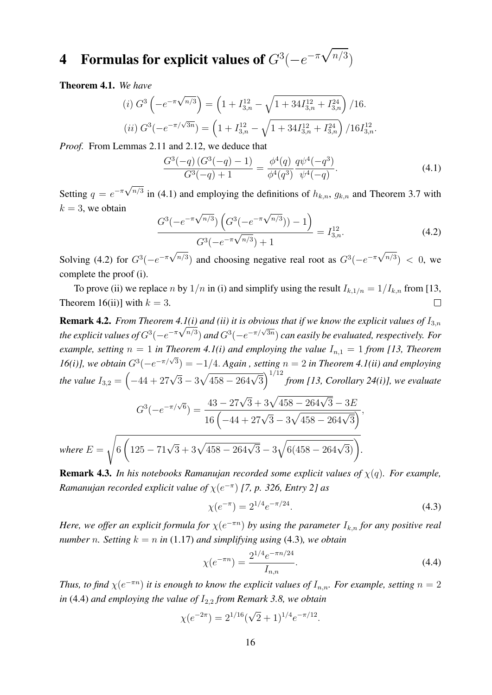#### 4 Formulas for explicit values of  $G^3(-e^{-\pi})$ √  $n/3$

Theorem 4.1. *We have*

(i) 
$$
G^3(-e^{-\pi\sqrt{n/3}}) = (1 + I_{3,n}^{12} - \sqrt{1 + 34I_{3,n}^{12} + I_{3,n}^{24}})/16.
$$
  
\n(ii)  $G^3(-e^{-\pi/\sqrt{3n}}) = (1 + I_{3,n}^{12} - \sqrt{1 + 34I_{3,n}^{12} + I_{3,n}^{24}})/16I_{3,n}^{12}.$ 

*Proof.* From Lemmas 2.11 and 2.12, we deduce that

$$
\frac{G^3(-q)\left(G^3(-q) - 1\right)}{G^3(-q) + 1} = \frac{\phi^4(q)}{\phi^4(q^3)} \frac{q\psi^4(-q^3)}{\psi^4(-q)}.\tag{4.1}
$$

Setting  $q = e^{-\pi \sqrt{n/3}}$  in (4.1) and employing the definitions of  $h_{k,n}$ ,  $g_{k,n}$  and Theorem 3.7 with  $k = 3$ , we obtain √ √

$$
\frac{G^3(-e^{-\pi\sqrt{n/3}})\left(G^3(-e^{-\pi\sqrt{n/3}}))-1\right)}{G^3(-e^{-\pi\sqrt{n/3}})+1} = I_{3,n}^{12}.
$$
\n(4.2)

Solving (4.2) for  $G^3(-e^{-\pi\sqrt{n/3}})$  and choosing negative real root as  $G^3(-e^{-\pi\sqrt{n/3}})$  < 0, we complete the proof (i).

To prove (ii) we replace n by  $1/n$  in (i) and simplify using the result  $I_{k,1/n} = 1/I_{k,n}$  from [13, Theorem 16(ii)] with  $k = 3$ .  $\Box$ 

**Remark 4.2.** *From Theorem 4.1(i) and (ii) it is obvious that if we know the explicit values of*  $I_{3,n}$ *the explicit values of*  $G^3(-e^{-\pi\sqrt{n/3}})$  *and*  $G^3(-e^{-\pi/\sqrt{3n}})$  *can easily be evaluated, respectively. For example, setting*  $n = 1$  *in Theorem 4.1(i) and employing the value*  $I_{n,1} = 1$  *from [13, Theorem*  $16(i)$ , we obtain  $G^3(-e^{-\pi/\sqrt{3}}) = -1/4$ . *Again*, setting  $n = 2$  in Theorem 4.1(ii) and employing *the value*  $I_{3,2} = \left(-44 + 27\sqrt{3} - 3\sqrt{458 - 264\sqrt{3}}\right)^{1/12}$  *from [13, Corollary 24(i)], we evaluate* 

$$
G^{3}(-e^{-\pi/\sqrt{6}}) = \frac{43 - 27\sqrt{3} + 3\sqrt{458 - 264\sqrt{3} - 3E}}{16\left(-44 + 27\sqrt{3} - 3\sqrt{458 - 264\sqrt{3}}\right)},
$$
  
where  $E = \sqrt{6\left(125 - 71\sqrt{3} + 3\sqrt{458 - 264\sqrt{3}} - 3\sqrt{6(458 - 264\sqrt{3})}\right)}.$ 

Remark 4.3. *In his notebooks Ramanujan recorded some explicit values of* χ(q)*. For example, Ramanujan recorded explicit value of*  $\chi(e^{-\pi})$  [7, p. 326, Entry 2] as

$$
\chi(e^{-\pi}) = 2^{1/4} e^{-\pi/24}.
$$
\n(4.3)

*Here, we offer an explicit formula for*  $\chi(e^{-\pi n})$  *by using the parameter*  $I_{k,n}$  *for any positive real number n.* Setting  $k = n$  in (1.17) and simplifying using (4.3), we obtain

$$
\chi(e^{-\pi n}) = \frac{2^{1/4}e^{-\pi n/24}}{I_{n,n}}.\tag{4.4}
$$

*Thus, to find*  $\chi(e^{-\pi n})$  *it is enough to know the explicit values of*  $I_{n,n}$ *. For example, setting*  $n = 2$ *in* (4.4) *and employing the value of*  $I_{2,2}$  *from Remark 3.8, we obtain* 

$$
\chi(e^{-2\pi}) = 2^{1/16}(\sqrt{2}+1)^{1/4}e^{-\pi/12}.
$$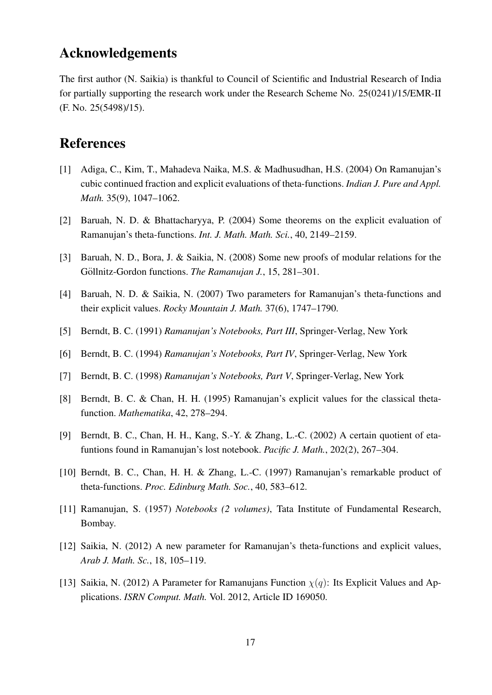#### Acknowledgements

The first author (N. Saikia) is thankful to Council of Scientific and Industrial Research of India for partially supporting the research work under the Research Scheme No. 25(0241)/15/EMR-II (F. No. 25(5498)/15).

#### References

- [1] Adiga, C., Kim, T., Mahadeva Naika, M.S. & Madhusudhan, H.S. (2004) On Ramanujan's cubic continued fraction and explicit evaluations of theta-functions. *Indian J. Pure and Appl. Math.* 35(9), 1047–1062.
- [2] Baruah, N. D. & Bhattacharyya, P. (2004) Some theorems on the explicit evaluation of Ramanujan's theta-functions. *Int. J. Math. Math. Sci.*, 40, 2149–2159.
- [3] Baruah, N. D., Bora, J. & Saikia, N. (2008) Some new proofs of modular relations for the Göllnitz-Gordon functions. *The Ramanujan J.*, 15, 281–301.
- [4] Baruah, N. D. & Saikia, N. (2007) Two parameters for Ramanujan's theta-functions and their explicit values. *Rocky Mountain J. Math.* 37(6), 1747–1790.
- [5] Berndt, B. C. (1991) *Ramanujan's Notebooks, Part III*, Springer-Verlag, New York
- [6] Berndt, B. C. (1994) *Ramanujan's Notebooks, Part IV*, Springer-Verlag, New York
- [7] Berndt, B. C. (1998) *Ramanujan's Notebooks, Part V*, Springer-Verlag, New York
- [8] Berndt, B. C. & Chan, H. H. (1995) Ramanujan's explicit values for the classical thetafunction. *Mathematika*, 42, 278–294.
- [9] Berndt, B. C., Chan, H. H., Kang, S.-Y. & Zhang, L.-C. (2002) A certain quotient of etafuntions found in Ramanujan's lost notebook. *Pacific J. Math.*, 202(2), 267–304.
- [10] Berndt, B. C., Chan, H. H. & Zhang, L.-C. (1997) Ramanujan's remarkable product of theta-functions. *Proc. Edinburg Math. Soc.*, 40, 583–612.
- [11] Ramanujan, S. (1957) *Notebooks (2 volumes)*, Tata Institute of Fundamental Research, Bombay.
- [12] Saikia, N. (2012) A new parameter for Ramanujan's theta-functions and explicit values, *Arab J. Math. Sc.*, 18, 105–119.
- [13] Saikia, N. (2012) A Parameter for Ramanujans Function  $\chi(q)$ : Its Explicit Values and Applications. *ISRN Comput. Math.* Vol. 2012, Article ID 169050.